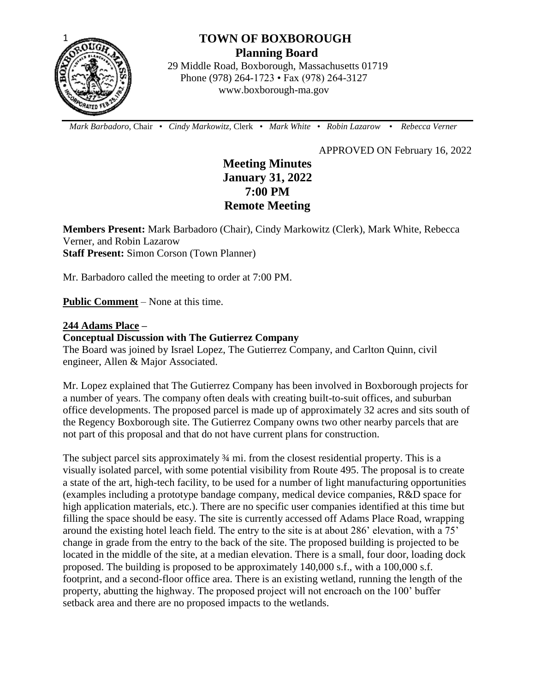

# **TOWN OF BOXBOROUGH Planning Board**

 29 Middle Road, Boxborough, Massachusetts 01719 Phone (978) 264-1723 • Fax (978) 264-3127 www.boxborough-ma.gov

 *Mark Barbadoro*, Chair • *Cindy Markowitz,* Clerk • *Mark White* • *Robin Lazarow* • *Rebecca Verner*

APPROVED ON February 16, 2022

## **Meeting Minutes January 31, 2022 7:00 PM Remote Meeting**

**Members Present:** Mark Barbadoro (Chair), Cindy Markowitz (Clerk), Mark White, Rebecca Verner, and Robin Lazarow **Staff Present:** Simon Corson (Town Planner)

Mr. Barbadoro called the meeting to order at 7:00 PM.

**Public Comment** – None at this time.

## **244 Adams Place –**

## **Conceptual Discussion with The Gutierrez Company**

The Board was joined by Israel Lopez, The Gutierrez Company, and Carlton Quinn, civil engineer, Allen & Major Associated.

Mr. Lopez explained that The Gutierrez Company has been involved in Boxborough projects for a number of years. The company often deals with creating built-to-suit offices, and suburban office developments. The proposed parcel is made up of approximately 32 acres and sits south of the Regency Boxborough site. The Gutierrez Company owns two other nearby parcels that are not part of this proposal and that do not have current plans for construction.

The subject parcel sits approximately  $\frac{3}{4}$  mi. from the closest residential property. This is a visually isolated parcel, with some potential visibility from Route 495. The proposal is to create a state of the art, high-tech facility, to be used for a number of light manufacturing opportunities (examples including a prototype bandage company, medical device companies, R&D space for high application materials, etc.). There are no specific user companies identified at this time but filling the space should be easy. The site is currently accessed off Adams Place Road, wrapping around the existing hotel leach field. The entry to the site is at about 286' elevation, with a 75' change in grade from the entry to the back of the site. The proposed building is projected to be located in the middle of the site, at a median elevation. There is a small, four door, loading dock proposed. The building is proposed to be approximately 140,000 s.f., with a 100,000 s.f. footprint, and a second-floor office area. There is an existing wetland, running the length of the property, abutting the highway. The proposed project will not encroach on the 100' buffer setback area and there are no proposed impacts to the wetlands.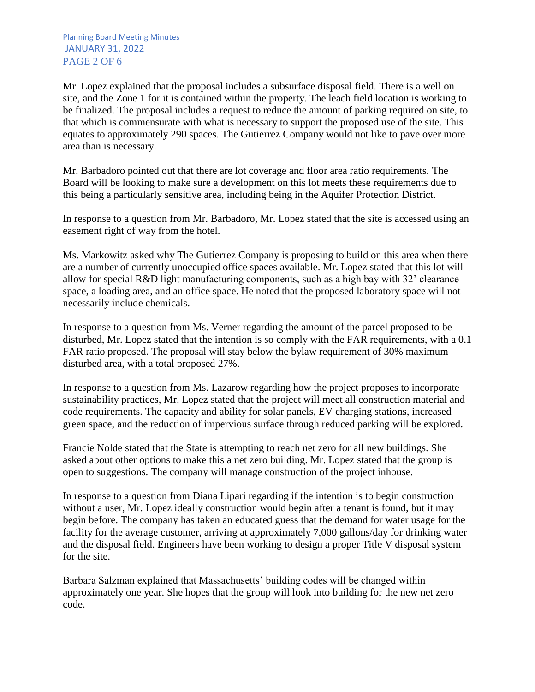Planning Board Meeting Minutes JANUARY 31, 2022 PAGE 2 OF 6

Mr. Lopez explained that the proposal includes a subsurface disposal field. There is a well on site, and the Zone 1 for it is contained within the property. The leach field location is working to be finalized. The proposal includes a request to reduce the amount of parking required on site, to that which is commensurate with what is necessary to support the proposed use of the site. This equates to approximately 290 spaces. The Gutierrez Company would not like to pave over more area than is necessary.

Mr. Barbadoro pointed out that there are lot coverage and floor area ratio requirements. The Board will be looking to make sure a development on this lot meets these requirements due to this being a particularly sensitive area, including being in the Aquifer Protection District.

In response to a question from Mr. Barbadoro, Mr. Lopez stated that the site is accessed using an easement right of way from the hotel.

Ms. Markowitz asked why The Gutierrez Company is proposing to build on this area when there are a number of currently unoccupied office spaces available. Mr. Lopez stated that this lot will allow for special R&D light manufacturing components, such as a high bay with 32' clearance space, a loading area, and an office space. He noted that the proposed laboratory space will not necessarily include chemicals.

In response to a question from Ms. Verner regarding the amount of the parcel proposed to be disturbed, Mr. Lopez stated that the intention is so comply with the FAR requirements, with a 0.1 FAR ratio proposed. The proposal will stay below the bylaw requirement of 30% maximum disturbed area, with a total proposed 27%.

In response to a question from Ms. Lazarow regarding how the project proposes to incorporate sustainability practices, Mr. Lopez stated that the project will meet all construction material and code requirements. The capacity and ability for solar panels, EV charging stations, increased green space, and the reduction of impervious surface through reduced parking will be explored.

Francie Nolde stated that the State is attempting to reach net zero for all new buildings. She asked about other options to make this a net zero building. Mr. Lopez stated that the group is open to suggestions. The company will manage construction of the project inhouse.

In response to a question from Diana Lipari regarding if the intention is to begin construction without a user, Mr. Lopez ideally construction would begin after a tenant is found, but it may begin before. The company has taken an educated guess that the demand for water usage for the facility for the average customer, arriving at approximately 7,000 gallons/day for drinking water and the disposal field. Engineers have been working to design a proper Title V disposal system for the site.

Barbara Salzman explained that Massachusetts' building codes will be changed within approximately one year. She hopes that the group will look into building for the new net zero code.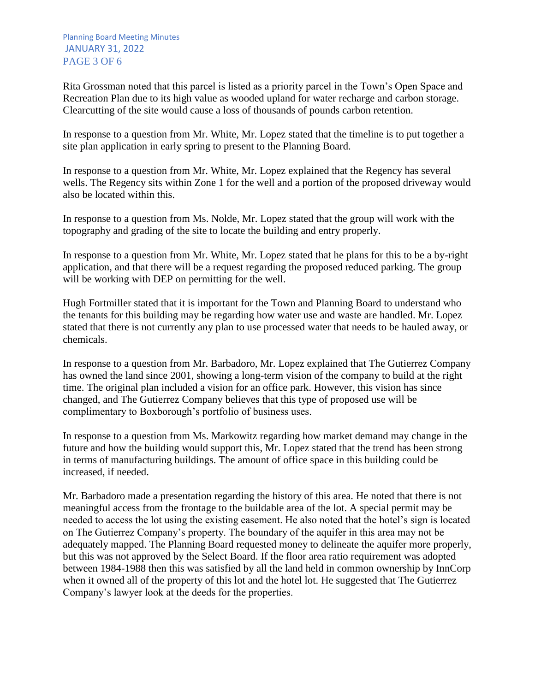Rita Grossman noted that this parcel is listed as a priority parcel in the Town's Open Space and Recreation Plan due to its high value as wooded upland for water recharge and carbon storage. Clearcutting of the site would cause a loss of thousands of pounds carbon retention.

In response to a question from Mr. White, Mr. Lopez stated that the timeline is to put together a site plan application in early spring to present to the Planning Board.

In response to a question from Mr. White, Mr. Lopez explained that the Regency has several wells. The Regency sits within Zone 1 for the well and a portion of the proposed driveway would also be located within this.

In response to a question from Ms. Nolde, Mr. Lopez stated that the group will work with the topography and grading of the site to locate the building and entry properly.

In response to a question from Mr. White, Mr. Lopez stated that he plans for this to be a by-right application, and that there will be a request regarding the proposed reduced parking. The group will be working with DEP on permitting for the well.

Hugh Fortmiller stated that it is important for the Town and Planning Board to understand who the tenants for this building may be regarding how water use and waste are handled. Mr. Lopez stated that there is not currently any plan to use processed water that needs to be hauled away, or chemicals.

In response to a question from Mr. Barbadoro, Mr. Lopez explained that The Gutierrez Company has owned the land since 2001, showing a long-term vision of the company to build at the right time. The original plan included a vision for an office park. However, this vision has since changed, and The Gutierrez Company believes that this type of proposed use will be complimentary to Boxborough's portfolio of business uses.

In response to a question from Ms. Markowitz regarding how market demand may change in the future and how the building would support this, Mr. Lopez stated that the trend has been strong in terms of manufacturing buildings. The amount of office space in this building could be increased, if needed.

Mr. Barbadoro made a presentation regarding the history of this area. He noted that there is not meaningful access from the frontage to the buildable area of the lot. A special permit may be needed to access the lot using the existing easement. He also noted that the hotel's sign is located on The Gutierrez Company's property. The boundary of the aquifer in this area may not be adequately mapped. The Planning Board requested money to delineate the aquifer more properly, but this was not approved by the Select Board. If the floor area ratio requirement was adopted between 1984-1988 then this was satisfied by all the land held in common ownership by InnCorp when it owned all of the property of this lot and the hotel lot. He suggested that The Gutierrez Company's lawyer look at the deeds for the properties.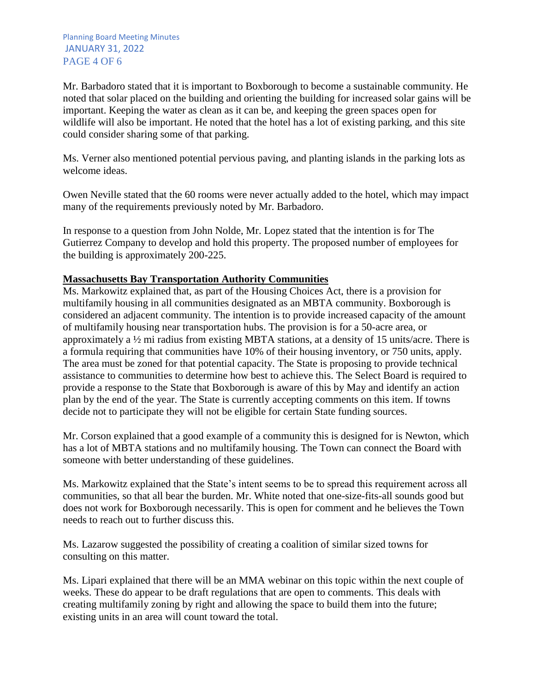Mr. Barbadoro stated that it is important to Boxborough to become a sustainable community. He noted that solar placed on the building and orienting the building for increased solar gains will be important. Keeping the water as clean as it can be, and keeping the green spaces open for wildlife will also be important. He noted that the hotel has a lot of existing parking, and this site could consider sharing some of that parking.

Ms. Verner also mentioned potential pervious paving, and planting islands in the parking lots as welcome ideas.

Owen Neville stated that the 60 rooms were never actually added to the hotel, which may impact many of the requirements previously noted by Mr. Barbadoro.

In response to a question from John Nolde, Mr. Lopez stated that the intention is for The Gutierrez Company to develop and hold this property. The proposed number of employees for the building is approximately 200-225.

## **Massachusetts Bay Transportation Authority Communities**

Ms. Markowitz explained that, as part of the Housing Choices Act, there is a provision for multifamily housing in all communities designated as an MBTA community. Boxborough is considered an adjacent community. The intention is to provide increased capacity of the amount of multifamily housing near transportation hubs. The provision is for a 50-acre area, or approximately a ½ mi radius from existing MBTA stations, at a density of 15 units/acre. There is a formula requiring that communities have 10% of their housing inventory, or 750 units, apply. The area must be zoned for that potential capacity. The State is proposing to provide technical assistance to communities to determine how best to achieve this. The Select Board is required to provide a response to the State that Boxborough is aware of this by May and identify an action plan by the end of the year. The State is currently accepting comments on this item. If towns decide not to participate they will not be eligible for certain State funding sources.

Mr. Corson explained that a good example of a community this is designed for is Newton, which has a lot of MBTA stations and no multifamily housing. The Town can connect the Board with someone with better understanding of these guidelines.

Ms. Markowitz explained that the State's intent seems to be to spread this requirement across all communities, so that all bear the burden. Mr. White noted that one-size-fits-all sounds good but does not work for Boxborough necessarily. This is open for comment and he believes the Town needs to reach out to further discuss this.

Ms. Lazarow suggested the possibility of creating a coalition of similar sized towns for consulting on this matter.

Ms. Lipari explained that there will be an MMA webinar on this topic within the next couple of weeks. These do appear to be draft regulations that are open to comments. This deals with creating multifamily zoning by right and allowing the space to build them into the future; existing units in an area will count toward the total.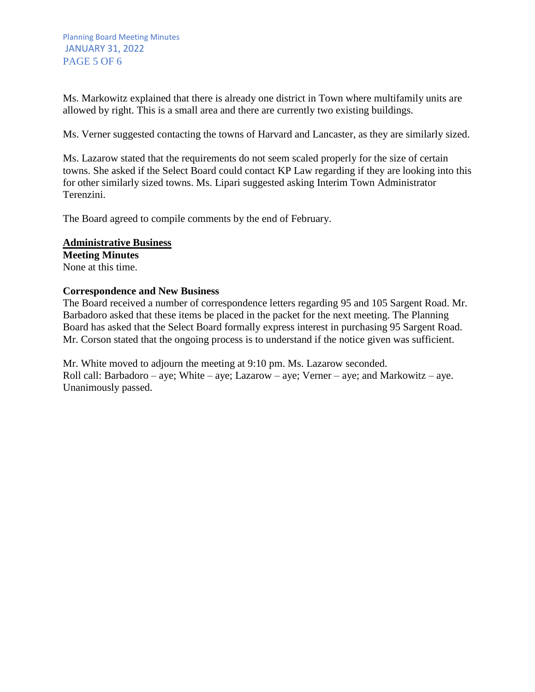Ms. Markowitz explained that there is already one district in Town where multifamily units are allowed by right. This is a small area and there are currently two existing buildings.

Ms. Verner suggested contacting the towns of Harvard and Lancaster, as they are similarly sized.

Ms. Lazarow stated that the requirements do not seem scaled properly for the size of certain towns. She asked if the Select Board could contact KP Law regarding if they are looking into this for other similarly sized towns. Ms. Lipari suggested asking Interim Town Administrator Terenzini.

The Board agreed to compile comments by the end of February.

## **Administrative Business**

**Meeting Minutes** None at this time.

## **Correspondence and New Business**

The Board received a number of correspondence letters regarding 95 and 105 Sargent Road. Mr. Barbadoro asked that these items be placed in the packet for the next meeting. The Planning Board has asked that the Select Board formally express interest in purchasing 95 Sargent Road. Mr. Corson stated that the ongoing process is to understand if the notice given was sufficient.

Mr. White moved to adjourn the meeting at 9:10 pm. Ms. Lazarow seconded. Roll call: Barbadoro – aye; White – aye; Lazarow – aye; Verner – aye; and Markowitz – aye. Unanimously passed.